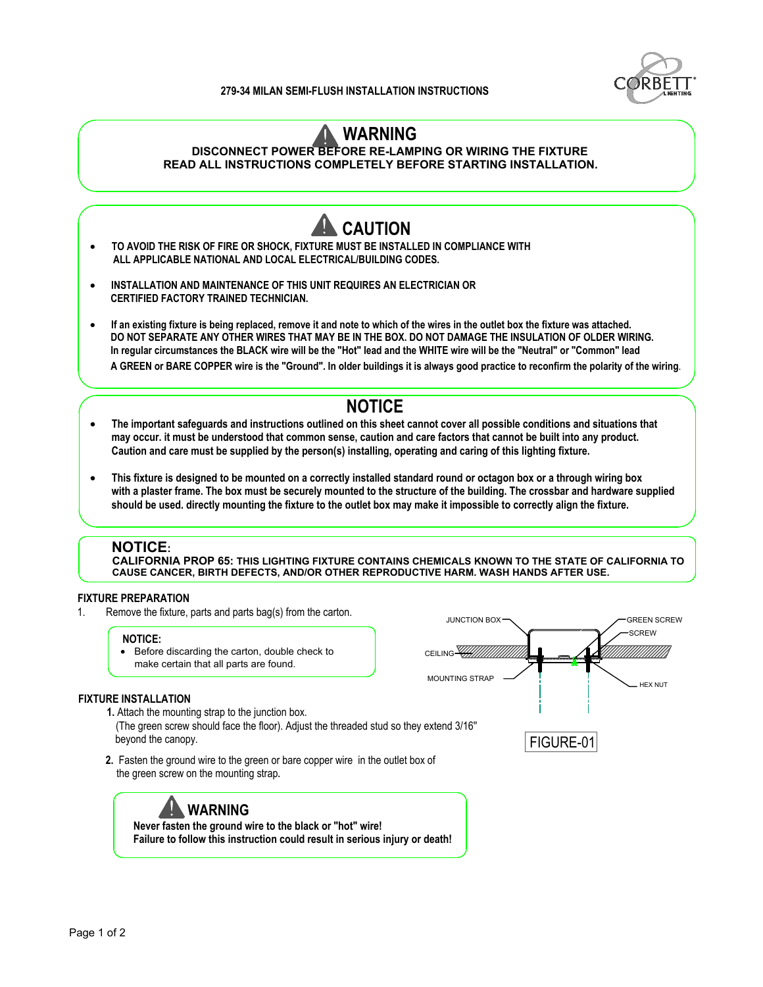## **279-34 MILAN SEMI-FLUSH INSTALLATION INSTRUCTIONS**



## *M* WARNING

**DISCONNECT POWER BEFORE RE-LAMPING OR WIRING THE FIXTURE**

**READ ALL INSTRUCTIONS COMPLETELY BEFORE STARTING INSTALLATION.**



**1.** Attach the mounting strap to the junction box. (The green screw should face the floor). Adjust the threaded stud so they extend 3/16'' beyond the canopy. **Example 20** is a set of the canopy of the canopy. **FIGURE-01** 

**2.** Fasten the ground wire to the green or bare copper wire in the outlet box of the green screw on the mounting strap**.**